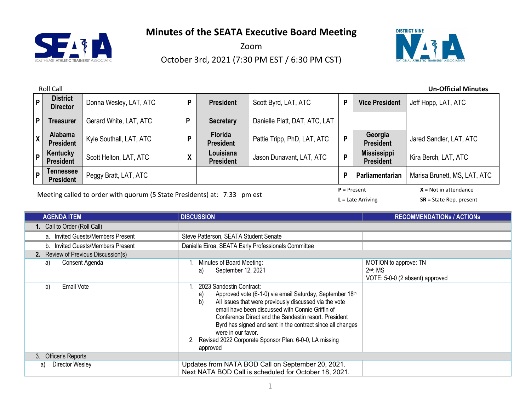

Zoom October 3rd, 2021 (7:30 PM EST / 6:30 PM CST)



| <b>Roll Call</b><br><b>Un-Official Minutes</b>     |                         |        |                                    |                               |   |                                        |                              |
|----------------------------------------------------|-------------------------|--------|------------------------------------|-------------------------------|---|----------------------------------------|------------------------------|
| <b>District</b><br>$\mathsf{P}$<br><b>Director</b> | Donna Wesley, LAT, ATC  | р      | <b>President</b>                   | Scott Byrd, LAT, ATC          | P | <b>Vice President</b>                  | Jeff Hopp, LAT, ATC          |
| P<br><b>Treasurer</b>                              | Gerard White, LAT, ATC  | р      | <b>Secretary</b>                   | Danielle Platt, DAT, ATC, LAT |   |                                        |                              |
| Alabama<br>$\mathsf{X}$<br><b>President</b>        | Kyle Southall, LAT, ATC | D      | <b>Florida</b><br><b>President</b> | Pattie Tripp, PhD, LAT, ATC   | P | Georgia<br><b>President</b>            | Jared Sandler, LAT, ATC      |
| Kentucky<br>P<br><b>President</b>                  | Scott Helton, LAT, ATC  | v<br>Λ | Louisiana<br><b>President</b>      | Jason Dunavant, LAT, ATC      | P | <b>Mississippi</b><br><b>President</b> | Kira Berch, LAT, ATC         |
| Tennessee<br>P<br><b>President</b>                 | Peggy Bratt, LAT, ATC   |        |                                    |                               | P | Parliamentarian                        | Marisa Brunett, MS, LAT, ATC |
| $P =$ Present<br>$X = Not in attendance$           |                         |        |                                    |                               |   |                                        |                              |

Meeting called to order with quorum (5 State Presidents) at: 7:33 pm est

**L** = Late Arriving **SR** = State Rep. present

| <b>AGENDA ITEM</b>                   | <b>DISCUSSION</b>                                                                                                                                                                                                                                                                                                                                                                                                                       | <b>RECOMMENDATIONS / ACTIONS</b>                                       |
|--------------------------------------|-----------------------------------------------------------------------------------------------------------------------------------------------------------------------------------------------------------------------------------------------------------------------------------------------------------------------------------------------------------------------------------------------------------------------------------------|------------------------------------------------------------------------|
| 1. Call to Order (Roll Call)         |                                                                                                                                                                                                                                                                                                                                                                                                                                         |                                                                        |
| a. Invited Guests/Members Present    | Steve Patterson, SEATA Student Senate                                                                                                                                                                                                                                                                                                                                                                                                   |                                                                        |
| Invited Guests/Members Present<br>b. | Daniella Eiroa, SEATA Early Professionals Committee                                                                                                                                                                                                                                                                                                                                                                                     |                                                                        |
| 2. Review of Previous Discussion(s)  |                                                                                                                                                                                                                                                                                                                                                                                                                                         |                                                                        |
| Consent Agenda<br>a)                 | Minutes of Board Meeting:<br>September 12, 2021<br>a)                                                                                                                                                                                                                                                                                                                                                                                   | MOTION to approve: TN<br>$2nd$ : MS<br>VOTE: 5-0-0 (2 absent) approved |
| b)<br>Email Vote                     | 2023 Sandestin Contract:<br>Approved vote (6-1-0) via email Saturday, September 18th<br>a)<br>All issues that were previously discussed via the vote<br>b)<br>email have been discussed with Connie Griffin of<br>Conference Direct and the Sandestin resort. President<br>Byrd has signed and sent in the contract since all changes<br>were in our favor.<br>Revised 2022 Corporate Sponsor Plan: 6-0-0, LA missing<br>2.<br>approved |                                                                        |
| 3. Officer's Reports                 |                                                                                                                                                                                                                                                                                                                                                                                                                                         |                                                                        |
| <b>Director Wesley</b><br>a)         | Updates from NATA BOD Call on September 20, 2021.<br>Next NATA BOD Call is scheduled for October 18, 2021.                                                                                                                                                                                                                                                                                                                              |                                                                        |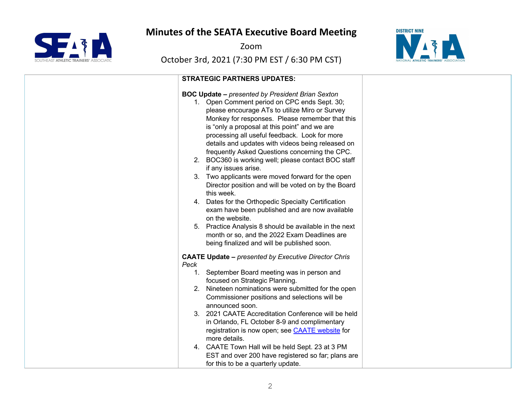

Zoom



| <b>STRATEGIC PARTNERS UPDATES:</b>                                                                                                                                                                                                                                                                                                                                                                                                                                                                                                                                                                                                                                                                                                                                                                                                                                   |  |
|----------------------------------------------------------------------------------------------------------------------------------------------------------------------------------------------------------------------------------------------------------------------------------------------------------------------------------------------------------------------------------------------------------------------------------------------------------------------------------------------------------------------------------------------------------------------------------------------------------------------------------------------------------------------------------------------------------------------------------------------------------------------------------------------------------------------------------------------------------------------|--|
| <b>BOC Update - presented by President Brian Sexton</b><br>1. Open Comment period on CPC ends Sept. 30;<br>please encourage ATs to utilize Miro or Survey<br>Monkey for responses. Please remember that this<br>is "only a proposal at this point" and we are<br>processing all useful feedback. Look for more<br>details and updates with videos being released on<br>frequently Asked Questions concerning the CPC.<br>2. BOC360 is working well; please contact BOC staff<br>if any issues arise.<br>3. Two applicants were moved forward for the open<br>Director position and will be voted on by the Board<br>this week.<br>4. Dates for the Orthopedic Specialty Certification<br>exam have been published and are now available<br>on the website.<br>5. Practice Analysis 8 should be available in the next<br>month or so, and the 2022 Exam Deadlines are |  |
| being finalized and will be published soon.                                                                                                                                                                                                                                                                                                                                                                                                                                                                                                                                                                                                                                                                                                                                                                                                                          |  |
| <b>CAATE Update - presented by Executive Director Chris</b><br>Peck<br>1. September Board meeting was in person and<br>focused on Strategic Planning.<br>2. Nineteen nominations were submitted for the open<br>Commissioner positions and selections will be<br>announced soon.<br>3. 2021 CAATE Accreditation Conference will be held<br>in Orlando, FL October 8-9 and complimentary<br>registration is now open; see <b>CAATE</b> website for<br>more details.<br>4. CAATE Town Hall will be held Sept. 23 at 3 PM<br>EST and over 200 have registered so far; plans are<br>for this to be a quarterly update.                                                                                                                                                                                                                                                   |  |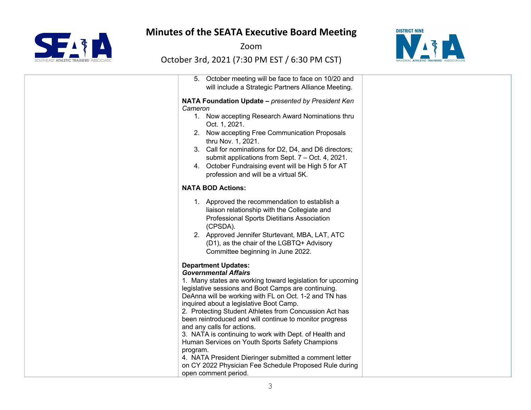

Zoom



| 5. October meeting will be face to face on 10/20 and                                                                                                                                                                                                                                                                                                                                                                                                                                                                                                                                                                                                                                                       |  |
|------------------------------------------------------------------------------------------------------------------------------------------------------------------------------------------------------------------------------------------------------------------------------------------------------------------------------------------------------------------------------------------------------------------------------------------------------------------------------------------------------------------------------------------------------------------------------------------------------------------------------------------------------------------------------------------------------------|--|
| will include a Strategic Partners Alliance Meeting.                                                                                                                                                                                                                                                                                                                                                                                                                                                                                                                                                                                                                                                        |  |
| NATA Foundation Update - presented by President Ken<br>Cameron<br>1. Now accepting Research Award Nominations thru<br>Oct. 1, 2021.<br>2. Now accepting Free Communication Proposals<br>thru Nov. 1, 2021.<br>3. Call for nominations for D2, D4, and D6 directors;<br>submit applications from Sept. 7 - Oct. 4, 2021.<br>4. October Fundraising event will be High 5 for AT<br>profession and will be a virtual 5K.                                                                                                                                                                                                                                                                                      |  |
| <b>NATA BOD Actions:</b>                                                                                                                                                                                                                                                                                                                                                                                                                                                                                                                                                                                                                                                                                   |  |
| 1. Approved the recommendation to establish a<br>liaison relationship with the Collegiate and<br>Professional Sports Dietitians Association<br>(CPSDA).<br>2. Approved Jennifer Sturtevant, MBA, LAT, ATC<br>(D1), as the chair of the LGBTQ+ Advisory<br>Committee beginning in June 2022.                                                                                                                                                                                                                                                                                                                                                                                                                |  |
| <b>Department Updates:</b><br><b>Governmental Affairs</b><br>1. Many states are working toward legislation for upcoming<br>legislative sessions and Boot Camps are continuing.<br>DeAnna will be working with FL on Oct. 1-2 and TN has<br>inquired about a legislative Boot Camp.<br>2. Protecting Student Athletes from Concussion Act has<br>been reintroduced and will continue to monitor progress<br>and any calls for actions.<br>3. NATA is continuing to work with Dept. of Health and<br>Human Services on Youth Sports Safety Champions<br>program.<br>4. NATA President Dieringer submitted a comment letter<br>on CY 2022 Physician Fee Schedule Proposed Rule during<br>open comment period. |  |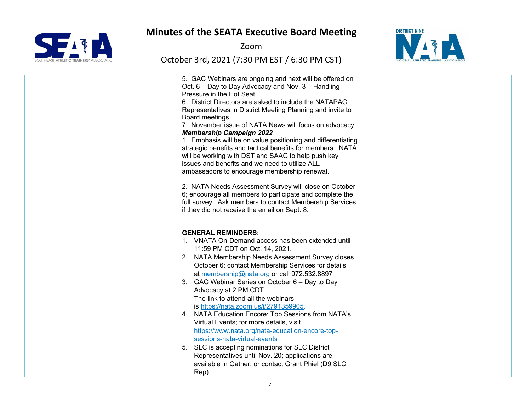

Zoom



| 5. GAC Webinars are ongoing and next will be offered on<br>Oct. 6 – Day to Day Advocacy and Nov. 3 – Handling<br>Pressure in the Hot Seat.<br>6. District Directors are asked to include the NATAPAC<br>Representatives in District Meeting Planning and invite to<br>Board meetings.<br>7. November issue of NATA News will focus on advocacy.<br><b>Membership Campaign 2022</b><br>1. Emphasis will be on value positioning and differentiating<br>strategic benefits and tactical benefits for members. NATA<br>will be working with DST and SAAC to help push key<br>issues and benefits and we need to utilize ALL<br>ambassadors to encourage membership renewal.<br>2. NATA Needs Assessment Survey will close on October<br>6; encourage all members to participate and complete the<br>full survey. Ask members to contact Membership Services<br>if they did not receive the email on Sept. 8. |  |
|-----------------------------------------------------------------------------------------------------------------------------------------------------------------------------------------------------------------------------------------------------------------------------------------------------------------------------------------------------------------------------------------------------------------------------------------------------------------------------------------------------------------------------------------------------------------------------------------------------------------------------------------------------------------------------------------------------------------------------------------------------------------------------------------------------------------------------------------------------------------------------------------------------------|--|
| <b>GENERAL REMINDERS:</b><br>1. VNATA On-Demand access has been extended until<br>11:59 PM CDT on Oct. 14, 2021.<br>2. NATA Membership Needs Assessment Survey closes<br>October 6; contact Membership Services for details<br>at membership@nata.org or call 972.532.8897<br>GAC Webinar Series on October 6 – Day to Day<br>3.<br>Advocacy at 2 PM CDT.<br>The link to attend all the webinars<br>is https://nata.zoom.us/j/2791359905.<br>4. NATA Education Encore: Top Sessions from NATA's<br>Virtual Events; for more details, visit<br>https://www.nata.org/nata-education-encore-top-<br>sessions-nata-virtual-events<br>5. SLC is accepting nominations for SLC District<br>Representatives until Nov. 20; applications are<br>available in Gather, or contact Grant Phiel (D9 SLC<br>Rep).                                                                                                      |  |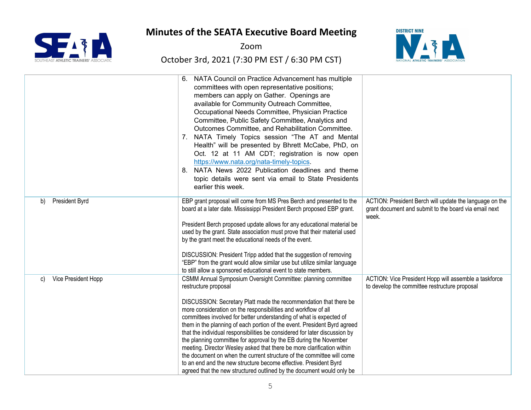

Zoom



|                             | NATA Council on Practice Advancement has multiple<br>committees with open representative positions;<br>members can apply on Gather. Openings are<br>available for Community Outreach Committee,<br>Occupational Needs Committee, Physician Practice<br>Committee, Public Safety Committee, Analytics and<br>Outcomes Committee, and Rehabilitation Committee.<br>7. NATA Timely Topics session "The AT and Mental<br>Health" will be presented by Bhrett McCabe, PhD, on<br>Oct. 12 at 11 AM CDT; registration is now open<br>https://www.nata.org/nata-timely-topics.<br>NATA News 2022 Publication deadlines and theme<br>8.<br>topic details were sent via email to State Presidents<br>earlier this week.                                                                                                                      |                                                                                                                           |
|-----------------------------|------------------------------------------------------------------------------------------------------------------------------------------------------------------------------------------------------------------------------------------------------------------------------------------------------------------------------------------------------------------------------------------------------------------------------------------------------------------------------------------------------------------------------------------------------------------------------------------------------------------------------------------------------------------------------------------------------------------------------------------------------------------------------------------------------------------------------------|---------------------------------------------------------------------------------------------------------------------------|
| <b>President Byrd</b><br>b) | EBP grant proposal will come from MS Pres Berch and presented to the<br>board at a later date. Mississippi President Berch proposed EBP grant.<br>President Berch proposed update allows for any educational material be<br>used by the grant. State association must prove that their material used<br>by the grant meet the educational needs of the event.<br>DISCUSSION: President Tripp added that the suggestion of removing<br>"EBP" from the grant would allow similar use but utilize similar language<br>to still allow a sponsored educational event to state members.                                                                                                                                                                                                                                                  | ACTION: President Berch will update the language on the<br>grant document and submit to the board via email next<br>week. |
| Vice President Hopp<br>C)   | CSMM Annual Symposium Oversight Committee: planning committee<br>restructure proposal<br>DISCUSSION: Secretary Platt made the recommendation that there be<br>more consideration on the responsibilities and workflow of all<br>committees involved for better understanding of what is expected of<br>them in the planning of each portion of the event. President Byrd agreed<br>that the individual responsibilities be considered for later discussion by<br>the planning committee for approval by the EB during the November<br>meeting. Director Wesley asked that there be more clarification within<br>the document on when the current structure of the committee will come<br>to an end and the new structure become effective. President Byrd<br>agreed that the new structured outlined by the document would only be | ACTION: Vice President Hopp will assemble a taskforce<br>to develop the committee restructure proposal                    |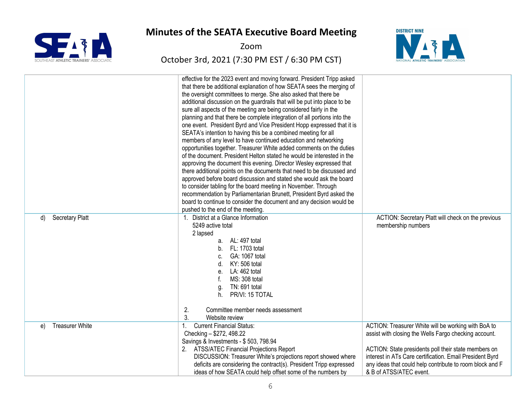

Zoom



|                              | effective for the 2023 event and moving forward. President Tripp asked    |                                                          |
|------------------------------|---------------------------------------------------------------------------|----------------------------------------------------------|
|                              | that there be additional explanation of how SEATA sees the merging of     |                                                          |
|                              | the oversight committees to merge. She also asked that there be           |                                                          |
|                              | additional discussion on the guardrails that will be put into place to be |                                                          |
|                              | sure all aspects of the meeting are being considered fairly in the        |                                                          |
|                              | planning and that there be complete integration of all portions into the  |                                                          |
|                              | one event. President Byrd and Vice President Hopp expressed that it is    |                                                          |
|                              | SEATA's intention to having this be a combined meeting for all            |                                                          |
|                              | members of any level to have continued education and networking           |                                                          |
|                              | opportunities together. Treasurer White added comments on the duties      |                                                          |
|                              | of the document. President Helton stated he would be interested in the    |                                                          |
|                              | approving the document this evening. Director Wesley expressed that       |                                                          |
|                              | there additional points on the documents that need to be discussed and    |                                                          |
|                              | approved before board discussion and stated she would ask the board       |                                                          |
|                              | to consider tabling for the board meeting in November. Through            |                                                          |
|                              | recommendation by Parliamentarian Brunett, President Byrd asked the       |                                                          |
|                              | board to continue to consider the document and any decision would be      |                                                          |
|                              | pushed to the end of the meeting.                                         |                                                          |
| <b>Secretary Platt</b><br>d) | 1. District at a Glance Information                                       | ACTION: Secretary Platt will check on the previous       |
|                              | 5249 active total                                                         | membership numbers                                       |
|                              | 2 lapsed                                                                  |                                                          |
|                              | a. AL: 497 total                                                          |                                                          |
|                              | b. FL: 1703 total                                                         |                                                          |
|                              | GA: 1067 total                                                            |                                                          |
|                              | KY: 506 total                                                             |                                                          |
|                              | LA: 462 total<br>е.                                                       |                                                          |
|                              | MS: 308 total                                                             |                                                          |
|                              | TN: 691 total<br>q.                                                       |                                                          |
|                              | PR/VI: 15 TOTAL<br>h.                                                     |                                                          |
|                              |                                                                           |                                                          |
|                              | 2.<br>Committee member needs assessment                                   |                                                          |
|                              | 3.<br>Website review                                                      |                                                          |
| <b>Treasurer White</b>       | <b>Current Financial Status:</b>                                          | ACTION: Treasurer White will be working with BoA to      |
| e)                           | 1.                                                                        |                                                          |
|                              | Checking - \$272, 498.22                                                  | assist with closing the Wells Fargo checking account.    |
|                              | Savings & Investments - \$503, 798.94                                     |                                                          |
|                              | 2. ATSS/ATEC Financial Projections Report                                 | ACTION: State presidents poll their state members on     |
|                              | DISCUSSION: Treasurer White's projections report showed where             | interest in ATs Care certification. Email President Byrd |
|                              | deficits are considering the contract(s). President Tripp expressed       | any ideas that could help contribute to room block and F |
|                              | ideas of how SEATA could help offset some of the numbers by               | & B of ATSS/ATEC event.                                  |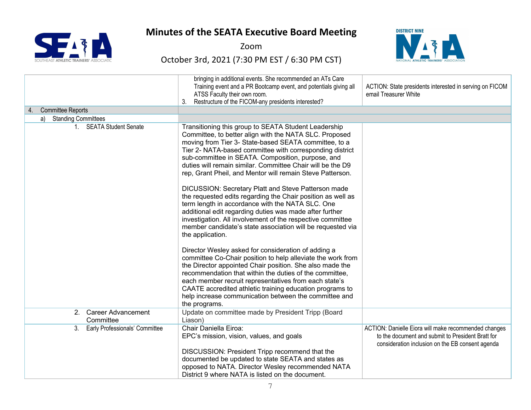

Zoom



| 4. Committee Reports                             | bringing in additional events. She recommended an ATs Care<br>Training event and a PR Bootcamp event, and potentials giving all<br>ATSS Faculty their own room.<br>Restructure of the FICOM-any presidents interested?<br>3.                                                                                                                                                                                                             | ACTION: State presidents interested in serving on FICOM<br>email Treasurer White                                                                              |
|--------------------------------------------------|------------------------------------------------------------------------------------------------------------------------------------------------------------------------------------------------------------------------------------------------------------------------------------------------------------------------------------------------------------------------------------------------------------------------------------------|---------------------------------------------------------------------------------------------------------------------------------------------------------------|
| a) Standing Committees                           |                                                                                                                                                                                                                                                                                                                                                                                                                                          |                                                                                                                                                               |
| 1. SEATA Student Senate                          | Transitioning this group to SEATA Student Leadership<br>Committee, to better align with the NATA SLC. Proposed<br>moving from Tier 3- State-based SEATA committee, to a<br>Tier 2- NATA-based committee with corresponding district<br>sub-committee in SEATA. Composition, purpose, and<br>duties will remain similar. Committee Chair will be the D9<br>rep, Grant Pheil, and Mentor will remain Steve Patterson.                      |                                                                                                                                                               |
|                                                  | DICUSSION: Secretary Platt and Steve Patterson made<br>the requested edits regarding the Chair position as well as<br>term length in accordance with the NATA SLC. One<br>additional edit regarding duties was made after further<br>investigation. All involvement of the respective committee<br>member candidate's state association will be requested via<br>the application.                                                        |                                                                                                                                                               |
|                                                  | Director Wesley asked for consideration of adding a<br>committee Co-Chair position to help alleviate the work from<br>the Director appointed Chair position. She also made the<br>recommendation that within the duties of the committee,<br>each member recruit representatives from each state's<br>CAATE accredited athletic training education programs to<br>help increase communication between the committee and<br>the programs. |                                                                                                                                                               |
| <b>Career Advancement</b><br>2.<br>Committee     | Update on committee made by President Tripp (Board<br>Liason)                                                                                                                                                                                                                                                                                                                                                                            |                                                                                                                                                               |
| Early Professionals' Committee<br>3 <sub>1</sub> | Chair Daniella Eiroa:<br>EPC's mission, vision, values, and goals<br>DISCUSSION: President Tripp recommend that the                                                                                                                                                                                                                                                                                                                      | ACTION: Danielle Eiora will make recommended changes<br>to the document and submit to President Bratt for<br>consideration inclusion on the EB consent agenda |
|                                                  | documented be updated to state SEATA and states as<br>opposed to NATA. Director Wesley recommended NATA<br>District 9 where NATA is listed on the document.                                                                                                                                                                                                                                                                              |                                                                                                                                                               |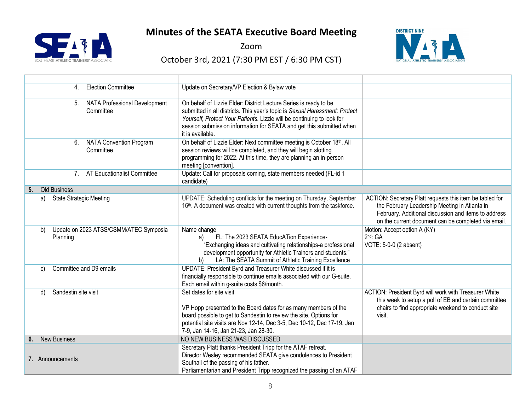

Zoom



| <b>Election Committee</b><br>$\mathbf{4}$                           | Update on Secretary/VP Election & Bylaw vote                                                                                                                                                                                                                                                                           |                                                                                                                                                                                                                          |
|---------------------------------------------------------------------|------------------------------------------------------------------------------------------------------------------------------------------------------------------------------------------------------------------------------------------------------------------------------------------------------------------------|--------------------------------------------------------------------------------------------------------------------------------------------------------------------------------------------------------------------------|
| <b>NATA Professional Development</b><br>5 <sub>1</sub><br>Committee | On behalf of Lizzie Elder: District Lecture Series is ready to be<br>submitted in all districts. This year's topic is Sexual Harassment: Protect<br>Yourself, Protect Your Patients. Lizzie will be continuing to look for<br>session submission information for SEATA and get this submitted when<br>it is available. |                                                                                                                                                                                                                          |
| <b>NATA Convention Program</b><br>6.<br>Committee                   | On behalf of Lizzie Elder: Next committee meeting is October 18th. All<br>session reviews will be completed, and they will begin slotting<br>programming for 2022. At this time, they are planning an in-person<br>meeting [convention].                                                                               |                                                                                                                                                                                                                          |
| AT Educationalist Committee<br>7 <sub>1</sub>                       | Update: Call for proposals coming, state members needed (FL-id 1<br>candidate)                                                                                                                                                                                                                                         |                                                                                                                                                                                                                          |
| Old Business<br>5 <sub>1</sub>                                      |                                                                                                                                                                                                                                                                                                                        |                                                                                                                                                                                                                          |
| <b>State Strategic Meeting</b><br>a)                                | UPDATE: Scheduling conflicts for the meeting on Thursday, September<br>16th. A document was created with current thoughts from the taskforce.                                                                                                                                                                          | ACTION: Secretary Platt requests this item be tabled for<br>the February Leadership Meeting in Atlanta in<br>February. Additional discussion and items to address<br>on the current document can be completed via email. |
| Update on 2023 ATSS/CSMM/ATEC Symposia<br>b)<br>Planning            | Name change<br>FL: The 2023 SEATA EducATion Experience-<br>a)<br>"Exchanging ideas and cultivating relationships-a professional<br>development opportunity for Athletic Trainers and students."<br>LA: The SEATA Summit of Athletic Training Excellence<br>b)                                                          | Motion: Accept option A (KY)<br>$2nd$ : GA<br>VOTE: 5-0-0 (2 absent)                                                                                                                                                     |
| Committee and D9 emails<br>C)                                       | UPDATE: President Byrd and Treasurer White discussed if it is<br>financially responsible to continue emails associated with our G-suite.<br>Each email within g-suite costs \$6/month.                                                                                                                                 |                                                                                                                                                                                                                          |
| Sandestin site visit<br>d)                                          | Set dates for site visit<br>VP Hopp presented to the Board dates for as many members of the<br>board possible to get to Sandestin to review the site. Options for<br>potential site visits are Nov 12-14, Dec 3-5, Dec 10-12, Dec 17-19, Jan<br>7-9, Jan 14-16, Jan 21-23, Jan 28-30.                                  | ACTION: President Byrd will work with Treasurer White<br>this week to setup a poll of EB and certain committee<br>chairs to find appropriate weekend to conduct site<br>visit.                                           |
| <b>New Business</b><br>6.                                           | NO NEW BUSINESS WAS DISCUSSED                                                                                                                                                                                                                                                                                          |                                                                                                                                                                                                                          |
| 7. Announcements                                                    | Secretary Platt thanks President Tripp for the ATAF retreat.<br>Director Wesley recommended SEATA give condolences to President<br>Southall of the passing of his father.<br>Parliamentarian and President Tripp recognized the passing of an ATAF                                                                     |                                                                                                                                                                                                                          |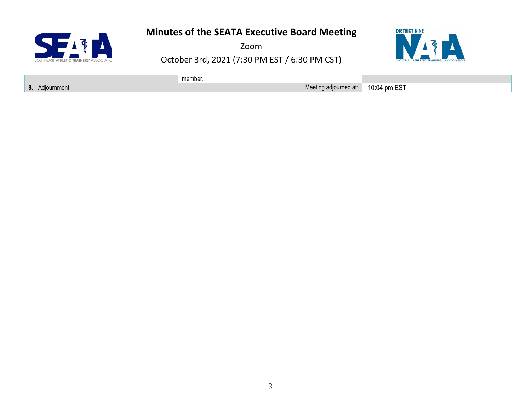SEIT  $\mathbf{A}$ 

Zoom



|                                        | member                |                                       |
|----------------------------------------|-----------------------|---------------------------------------|
| $\mathbf{\Omega}$<br>Adiournment<br>о. | Meeting adjourned at: | $-CT$<br>10:04<br>lnm FS.<br>ט∟ וווע∵ |